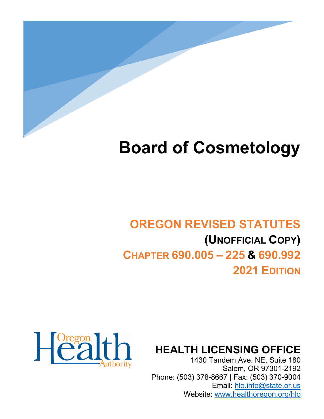

# **Board of Cosmetology**

# **OREGON REVISED STATUTES (UNOFFICIAL COPY) CHAPTER 690.005 – 225 & 690.992 2021 EDITION**



**HEALTH LICENSING OFFICE**

1430 Tandem Ave. NE, Suite 180 Salem, OR 97301-2192 Phone: (503) 378-8667 | Fax: (503) 370-9004 Email: [hlo.info@state.or.us](mailto:hlo.info@stae.or.us) Website: [www.healthoregon.org/hlo](http://www.healthoregon.org/hlo)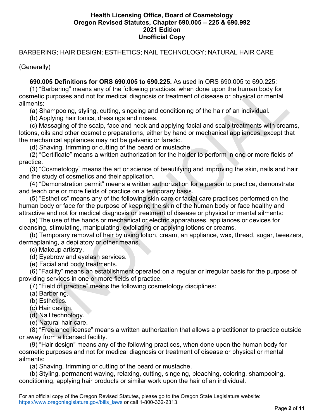# BARBERING; HAIR DESIGN; ESTHETICS; NAIL TECHNOLOGY; NATURAL HAIR CARE

(Generally)

 **690.005 Definitions for ORS 690.005 to 690.225.** As used in ORS 690.005 to 690.225:

 (1) "Barbering" means any of the following practices, when done upon the human body for cosmetic purposes and not for medical diagnosis or treatment of disease or physical or mental ailments:

(a) Shampooing, styling, cutting, singeing and conditioning of the hair of an individual.

(b) Applying hair tonics, dressings and rinses.

 (c) Massaging of the scalp, face and neck and applying facial and scalp treatments with creams, lotions, oils and other cosmetic preparations, either by hand or mechanical appliances, except that the mechanical appliances may not be galvanic or faradic.

(d) Shaving, trimming or cutting of the beard or mustache.

 (2) "Certificate" means a written authorization for the holder to perform in one or more fields of practice.

 (3) "Cosmetology" means the art or science of beautifying and improving the skin, nails and hair and the study of cosmetics and their application.

 (4) "Demonstration permit" means a written authorization for a person to practice, demonstrate and teach one or more fields of practice on a temporary basis.

 (5) "Esthetics" means any of the following skin care or facial care practices performed on the human body or face for the purpose of keeping the skin of the human body or face healthy and attractive and not for medical diagnosis or treatment of disease or physical or mental ailments:

 (a) The use of the hands or mechanical or electric apparatuses, appliances or devices for cleansing, stimulating, manipulating, exfoliating or applying lotions or creams.

 (b) Temporary removal of hair by using lotion, cream, an appliance, wax, thread, sugar, tweezers, dermaplaning, a depilatory or other means.

(c) Makeup artistry.

(d) Eyebrow and eyelash services.

(e) Facial and body treatments.

 (6) "Facility" means an establishment operated on a regular or irregular basis for the purpose of providing services in one or more fields of practice.

(7) "Field of practice" means the following cosmetology disciplines:

(a) Barbering.

(b) Esthetics.

(c) Hair design.

(d) Nail technology.

(e) Natural hair care.

 (8) "Freelance license" means a written authorization that allows a practitioner to practice outside or away from a licensed facility.

 (9) "Hair design" means any of the following practices, when done upon the human body for cosmetic purposes and not for medical diagnosis or treatment of disease or physical or mental ailments:

(a) Shaving, trimming or cutting of the beard or mustache.

 (b) Styling, permanent waving, relaxing, cutting, singeing, bleaching, coloring, shampooing, conditioning, applying hair products or similar work upon the hair of an individual.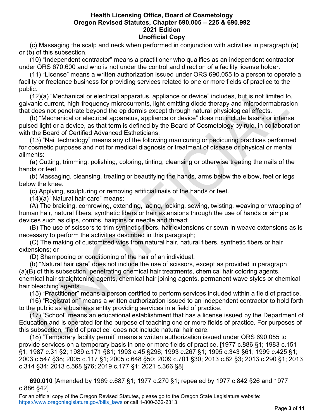(c) Massaging the scalp and neck when performed in conjunction with activities in paragraph (a) or (b) of this subsection.

 (10) "Independent contractor" means a practitioner who qualifies as an independent contractor under ORS 670.600 and who is not under the control and direction of a facility license holder.

 (11) "License" means a written authorization issued under ORS 690.055 to a person to operate a facility or freelance business for providing services related to one or more fields of practice to the public.

 (12)(a) "Mechanical or electrical apparatus, appliance or device" includes, but is not limited to, galvanic current, high-frequency microcurrents, light-emitting diode therapy and microdermabrasion that does not penetrate beyond the epidermis except through natural physiological effects.

 (b) "Mechanical or electrical apparatus, appliance or device" does not include lasers or intense pulsed light or a device, as that term is defined by the Board of Cosmetology by rule, in collaboration with the Board of Certified Advanced Estheticians.

 (13) "Nail technology" means any of the following manicuring or pedicuring practices performed for cosmetic purposes and not for medical diagnosis or treatment of disease or physical or mental ailments:

 (a) Cutting, trimming, polishing, coloring, tinting, cleansing or otherwise treating the nails of the hands or feet.

 (b) Massaging, cleansing, treating or beautifying the hands, arms below the elbow, feet or legs below the knee.

(c) Applying, sculpturing or removing artificial nails of the hands or feet.

(14)(a) "Natural hair care" means:

 (A) The braiding, cornrowing, extending, lacing, locking, sewing, twisting, weaving or wrapping of human hair, natural fibers, synthetic fibers or hair extensions through the use of hands or simple devices such as clips, combs, hairpins or needle and thread;

 (B) The use of scissors to trim synthetic fibers, hair extensions or sewn-in weave extensions as is necessary to perform the activities described in this paragraph;

 (C) The making of customized wigs from natural hair, natural fibers, synthetic fibers or hair extensions; or

(D) Shampooing or conditioning of the hair of an individual.

 (b) "Natural hair care" does not include the use of scissors, except as provided in paragraph (a)(B) of this subsection, penetrating chemical hair treatments, chemical hair coloring agents, chemical hair straightening agents, chemical hair joining agents, permanent wave styles or chemical hair bleaching agents.

(15) "Practitioner" means a person certified to perform services included within a field of practice.

 (16) "Registration" means a written authorization issued to an independent contractor to hold forth to the public as a business entity providing services in a field of practice.

 (17) "School" means an educational establishment that has a license issued by the Department of Education and is operated for the purpose of teaching one or more fields of practice. For purposes of this subsection, "field of practice" does not include natural hair care.

 (18) "Temporary facility permit" means a written authorization issued under ORS 690.055 to provide services on a temporary basis in one or more fields of practice. [1977 c.886 §1; 1983 c.151 §1; 1987 c.31 §2; 1989 c.171 §81; 1993 c.45 §296; 1993 c.267 §1; 1995 c.343 §61; 1999 c.425 §1; 2003 c.547 §38; 2005 c.117 §1; 2005 c.648 §50; 2009 c.701 §30; 2013 c.82 §3; 2013 c.290 §1; 2013 c.314 §34; 2013 c.568 §76; 2019 c.177 §1; 2021 c.366 §8]

 **690.010** [Amended by 1969 c.687 §1; 1977 c.270 §1; repealed by 1977 c.842 §26 and 1977 c.886 §42]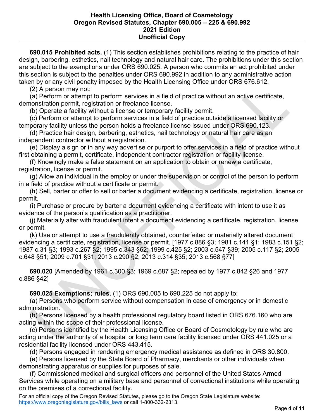**690.015 Prohibited acts.** (1) This section establishes prohibitions relating to the practice of hair design, barbering, esthetics, nail technology and natural hair care. The prohibitions under this section are subject to the exemptions under ORS 690.025. A person who commits an act prohibited under this section is subject to the penalties under ORS 690.992 in addition to any administrative action taken by or any civil penalty imposed by the Health Licensing Office under ORS 676.612.

(2) A person may not:

 (a) Perform or attempt to perform services in a field of practice without an active certificate, demonstration permit, registration or freelance license.

(b) Operate a facility without a license or temporary facility permit.

 (c) Perform or attempt to perform services in a field of practice outside a licensed facility or temporary facility unless the person holds a freelance license issued under ORS 690.123.

 (d) Practice hair design, barbering, esthetics, nail technology or natural hair care as an independent contractor without a registration.

 (e) Display a sign or in any way advertise or purport to offer services in a field of practice without first obtaining a permit, certificate, independent contractor registration or facility license.

 (f) Knowingly make a false statement on an application to obtain or renew a certificate, registration, license or permit.

 (g) Allow an individual in the employ or under the supervision or control of the person to perform in a field of practice without a certificate or permit.

 (h) Sell, barter or offer to sell or barter a document evidencing a certificate, registration, license or permit.

 (i) Purchase or procure by barter a document evidencing a certificate with intent to use it as evidence of the person's qualification as a practitioner.

 (j) Materially alter with fraudulent intent a document evidencing a certificate, registration, license or permit.

 (k) Use or attempt to use a fraudulently obtained, counterfeited or materially altered document evidencing a certificate, registration, license or permit. [1977 c.886 §3; 1981 c.141 §1; 1983 c.151 §2; 1987 c.31 §3; 1993 c.267 §2; 1995 c.343 §62; 1999 c.425 §2; 2003 c.547 §39; 2005 c.117 §2; 2005 c.648 §51; 2009 c.701 §31; 2013 c.290 §2; 2013 c.314 §35; 2013 c.568 §77]

 **690.020** [Amended by 1961 c.300 §3; 1969 c.687 §2; repealed by 1977 c.842 §26 and 1977 c.886 §42]

 **690.025 Exemptions; rules.** (1) ORS 690.005 to 690.225 do not apply to:

 (a) Persons who perform service without compensation in case of emergency or in domestic administration.

 (b) Persons licensed by a health professional regulatory board listed in ORS 676.160 who are acting within the scope of their professional license.

 (c) Persons identified by the Health Licensing Office or Board of Cosmetology by rule who are acting under the authority of a hospital or long term care facility licensed under ORS 441.025 or a residential facility licensed under ORS 443.415.

(d) Persons engaged in rendering emergency medical assistance as defined in ORS 30.800.

 (e) Persons licensed by the State Board of Pharmacy, merchants or other individuals when demonstrating apparatus or supplies for purposes of sale.

 (f) Commissioned medical and surgical officers and personnel of the United States Armed Services while operating on a military base and personnel of correctional institutions while operating on the premises of a correctional facility.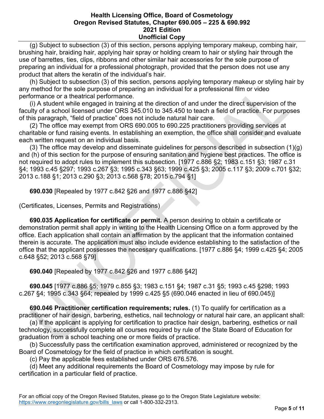(g) Subject to subsection (3) of this section, persons applying temporary makeup, combing hair, brushing hair, braiding hair, applying hair spray or holding cream to hair or styling hair through the use of barrettes, ties, clips, ribbons and other similar hair accessories for the sole purpose of preparing an individual for a professional photograph, provided that the person does not use any product that alters the keratin of the individual's hair.

 (h) Subject to subsection (3) of this section, persons applying temporary makeup or styling hair by any method for the sole purpose of preparing an individual for a professional film or video performance or a theatrical performance.

 (i) A student while engaged in training at the direction of and under the direct supervision of the faculty of a school licensed under ORS 345.010 to 345.450 to teach a field of practice. For purposes of this paragraph, "field of practice" does not include natural hair care.

 (2) The office may exempt from ORS 690.005 to 690.225 practitioners providing services at charitable or fund raising events. In establishing an exemption, the office shall consider and evaluate each written request on an individual basis.

 (3) The office may develop and disseminate guidelines for persons described in subsection (1)(g) and (h) of this section for the purpose of ensuring sanitation and hygiene best practices. The office is not required to adopt rules to implement this subsection. [1977 c.886 §2; 1983 c.151 §3; 1987 c.31 §4; 1993 c.45 §297; 1993 c.267 §3; 1995 c.343 §63; 1999 c.425 §3; 2005 c.117 §3; 2009 c.701 §32; 2013 c.188 §1; 2013 c.290 §3; 2013 c.568 §78; 2015 c.794 §1]

 **690.030** [Repealed by 1977 c.842 §26 and 1977 c.886 §42]

(Certificates, Licenses, Permits and Registrations)

 **690.035 Application for certificate or permit.** A person desiring to obtain a certificate or demonstration permit shall apply in writing to the Health Licensing Office on a form approved by the office. Each application shall contain an affirmation by the applicant that the information contained therein is accurate. The application must also include evidence establishing to the satisfaction of the office that the applicant possesses the necessary qualifications. [1977 c.886 §4; 1999 c.425 §4; 2005 c.648 §52; 2013 c.568 §79]

 **690.040** [Repealed by 1977 c.842 §26 and 1977 c.886 §42]

 **690.045** [1977 c.886 §5; 1979 c.855 §3; 1983 c.151 §4; 1987 c.31 §5; 1993 c.45 §298; 1993 c.267 §4; 1995 c.343 §64; repealed by 1999 c.425 §5 (690.046 enacted in lieu of 690.045)]

 **690.046 Practitioner certification requirements; rules.** (1) To qualify for certification as a practitioner of hair design, barbering, esthetics, nail technology or natural hair care, an applicant shall:

 (a) If the applicant is applying for certification to practice hair design, barbering, esthetics or nail technology, successfully complete all courses required by rule of the State Board of Education for graduation from a school teaching one or more fields of practice.

 (b) Successfully pass the certification examination approved, administered or recognized by the Board of Cosmetology for the field of practice in which certification is sought.

(c) Pay the applicable fees established under ORS 676.576.

 (d) Meet any additional requirements the Board of Cosmetology may impose by rule for certification in a particular field of practice.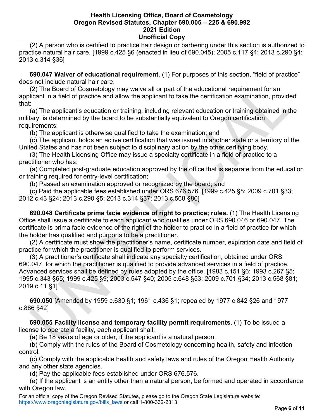(2) A person who is certified to practice hair design or barbering under this section is authorized to practice natural hair care. [1999 c.425 §6 (enacted in lieu of 690.045); 2005 c.117 §4; 2013 c.290 §4; 2013 c.314 §36]

 **690.047 Waiver of educational requirement.** (1) For purposes of this section, "field of practice" does not include natural hair care.

 (2) The Board of Cosmetology may waive all or part of the educational requirement for an applicant in a field of practice and allow the applicant to take the certification examination, provided that:

 (a) The applicant's education or training, including relevant education or training obtained in the military, is determined by the board to be substantially equivalent to Oregon certification requirements;

(b) The applicant is otherwise qualified to take the examination; and

 (c) The applicant holds an active certification that was issued in another state or a territory of the United States and has not been subject to disciplinary action by the other certifying body.

 (3) The Health Licensing Office may issue a specialty certificate in a field of practice to a practitioner who has:

 (a) Completed post-graduate education approved by the office that is separate from the education or training required for entry-level certification;

(b) Passed an examination approved or recognized by the board; and

 (c) Paid the applicable fees established under ORS 676.576. [1999 c.425 §8; 2009 c.701 §33; 2012 c.43 §24; 2013 c.290 §5; 2013 c.314 §37; 2013 c.568 §80]

 **690.048 Certificate prima facie evidence of right to practice; rules.** (1) The Health Licensing Office shall issue a certificate to each applicant who qualifies under ORS 690.046 or 690.047. The certificate is prima facie evidence of the right of the holder to practice in a field of practice for which the holder has qualified and purports to be a practitioner.

 (2) A certificate must show the practitioner's name, certificate number, expiration date and field of practice for which the practitioner is qualified to perform services.

 (3) A practitioner's certificate shall indicate any specialty certification, obtained under ORS 690.047, for which the practitioner is qualified to provide advanced services in a field of practice. Advanced services shall be defined by rules adopted by the office. [1983 c.151 §6; 1993 c.267 §5; 1995 c.343 §65; 1999 c.425 §9; 2003 c.547 §40; 2005 c.648 §53; 2009 c.701 §34; 2013 c.568 §81; 2019 c.11 §1]

 **690.050** [Amended by 1959 c.630 §1; 1961 c.436 §1; repealed by 1977 c.842 §26 and 1977 c.886 §42]

 **690.055 Facility license and temporary facility permit requirements.** (1) To be issued a license to operate a facility, each applicant shall:

(a) Be 18 years of age or older, if the applicant is a natural person.

 (b) Comply with the rules of the Board of Cosmetology concerning health, safety and infection control.

 (c) Comply with the applicable health and safety laws and rules of the Oregon Health Authority and any other state agencies.

(d) Pay the applicable fees established under ORS 676.576.

 (e) If the applicant is an entity other than a natural person, be formed and operated in accordance with Oregon law.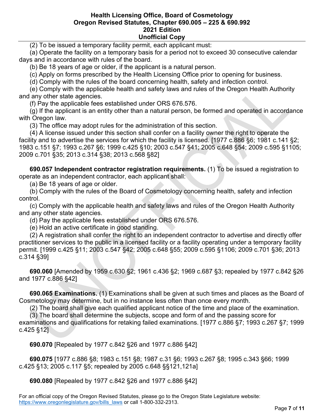(2) To be issued a temporary facility permit, each applicant must:

 (a) Operate the facility on a temporary basis for a period not to exceed 30 consecutive calendar days and in accordance with rules of the board.

(b) Be 18 years of age or older, if the applicant is a natural person.

(c) Apply on forms prescribed by the Health Licensing Office prior to opening for business.

(d) Comply with the rules of the board concerning health, safety and infection control.

 (e) Comply with the applicable health and safety laws and rules of the Oregon Health Authority and any other state agencies.

(f) Pay the applicable fees established under ORS 676.576.

 (g) If the applicant is an entity other than a natural person, be formed and operated in accordance with Oregon law.

(3) The office may adopt rules for the administration of this section.

 (4) A license issued under this section shall confer on a facility owner the right to operate the facility and to advertise the services for which the facility is licensed. [1977 c.886 §6; 1981 c.141 §2; 1983 c.151 §7; 1993 c.267 §6; 1999 c.425 §10; 2003 c.547 §41; 2005 c.648 §54; 2009 c.595 §1105; 2009 c.701 §35; 2013 c.314 §38; 2013 c.568 §82]

 **690.057 Independent contractor registration requirements.** (1) To be issued a registration to operate as an independent contractor, each applicant shall:

(a) Be 18 years of age or older.

 (b) Comply with the rules of the Board of Cosmetology concerning health, safety and infection control.

 (c) Comply with the applicable health and safety laws and rules of the Oregon Health Authority and any other state agencies.

(d) Pay the applicable fees established under ORS 676.576.

(e) Hold an active certificate in good standing.

 (2) A registration shall confer the right to an independent contractor to advertise and directly offer practitioner services to the public in a licensed facility or a facility operating under a temporary facility permit. [1999 c.425 §11; 2003 c.547 §42; 2005 c.648 §55; 2009 c.595 §1106; 2009 c.701 §36; 2013 c.314 §39]

 **690.060** [Amended by 1959 c.630 §2; 1961 c.436 §2; 1969 c.687 §3; repealed by 1977 c.842 §26 and 1977 c.886 §42]

 **690.065 Examinations.** (1) Examinations shall be given at such times and places as the Board of Cosmetology may determine, but in no instance less often than once every month.

(2) The board shall give each qualified applicant notice of the time and place of the examination.

(3) The board shall determine the subjects, scope and form of and the passing score for

examinations and qualifications for retaking failed examinations. [1977 c.886 §7; 1993 c.267 §7; 1999 c.425 §12]

 **690.070** [Repealed by 1977 c.842 §26 and 1977 c.886 §42]

 **690.075** [1977 c.886 §8; 1983 c.151 §8; 1987 c.31 §6; 1993 c.267 §8; 1995 c.343 §66; 1999 c.425 §13; 2005 c.117 §5; repealed by 2005 c.648 §§121,121a]

 **690.080** [Repealed by 1977 c.842 §26 and 1977 c.886 §42]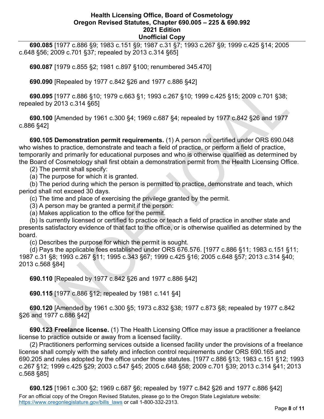**690.085** [1977 c.886 §9; 1983 c.151 §9; 1987 c.31 §7; 1993 c.267 §9; 1999 c.425 §14; 2005 c.648 §56; 2009 c.701 §37; repealed by 2013 c.314 §65]

 **690.087** [1979 c.855 §2; 1981 c.897 §100; renumbered 345.470]

 **690.090** [Repealed by 1977 c.842 §26 and 1977 c.886 §42]

 **690.095** [1977 c.886 §10; 1979 c.663 §1; 1993 c.267 §10; 1999 c.425 §15; 2009 c.701 §38; repealed by 2013 c.314 §65]

 **690.100** [Amended by 1961 c.300 §4; 1969 c.687 §4; repealed by 1977 c.842 §26 and 1977 c.886 §42]

 **690.105 Demonstration permit requirements.** (1) A person not certified under ORS 690.048 who wishes to practice, demonstrate and teach a field of practice, or perform a field of practice, temporarily and primarily for educational purposes and who is otherwise qualified as determined by the Board of Cosmetology shall first obtain a demonstration permit from the Health Licensing Office.

(2) The permit shall specify:

(a) The purpose for which it is granted.

 (b) The period during which the person is permitted to practice, demonstrate and teach, which period shall not exceed 30 days.

(c) The time and place of exercising the privilege granted by the permit.

(3) A person may be granted a permit if the person:

(a) Makes application to the office for the permit.

 (b) Is currently licensed or certified to practice or teach a field of practice in another state and presents satisfactory evidence of that fact to the office, or is otherwise qualified as determined by the board.

(c) Describes the purpose for which the permit is sought.

 (d) Pays the applicable fees established under ORS 676.576. [1977 c.886 §11; 1983 c.151 §11; 1987 c.31 §8; 1993 c.267 §11; 1995 c.343 §67; 1999 c.425 §16; 2005 c.648 §57; 2013 c.314 §40; 2013 c.568 §84]

 **690.110** [Repealed by 1977 c.842 §26 and 1977 c.886 §42]

 **690.115** [1977 c.886 §12; repealed by 1981 c.141 §4]

 **690.120** [Amended by 1961 c.300 §5; 1973 c.832 §38; 1977 c.873 §8; repealed by 1977 c.842 §26 and 1977 c.886 §42]

 **690.123 Freelance license.** (1) The Health Licensing Office may issue a practitioner a freelance license to practice outside or away from a licensed facility.

 (2) Practitioners performing services outside a licensed facility under the provisions of a freelance license shall comply with the safety and infection control requirements under ORS 690.165 and 690.205 and rules adopted by the office under those statutes. [1977 c.886 §13; 1983 c.151 §12; 1993 c.267 §12; 1999 c.425 §29; 2003 c.547 §45; 2005 c.648 §58; 2009 c.701 §39; 2013 c.314 §41; 2013 c.568 §85]

For an official copy of the Oregon Revised Statutes, please go to the Oregon State Legislature website: [https://www.oregonlegislature.gov/bills\\_laws](https://www.oregonlegislature.gov/bills_laws) or call 1-800-332-2313.  **690.125** [1961 c.300 §2; 1969 c.687 §6; repealed by 1977 c.842 §26 and 1977 c.886 §42]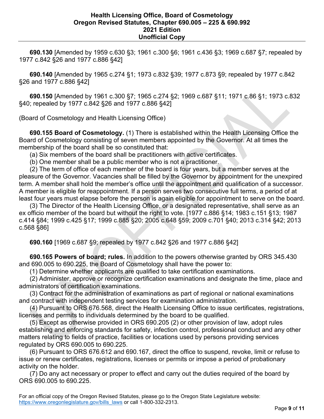**690.130** [Amended by 1959 c.630 §3; 1961 c.300 §6; 1961 c.436 §3; 1969 c.687 §7; repealed by 1977 c.842 §26 and 1977 c.886 §42]

 **690.140** [Amended by 1965 c.274 §1; 1973 c.832 §39; 1977 c.873 §9; repealed by 1977 c.842 §26 and 1977 c.886 §42]

 **690.150** [Amended by 1961 c.300 §7; 1965 c.274 §2; 1969 c.687 §11; 1971 c.86 §1; 1973 c.832 §40; repealed by 1977 c.842 §26 and 1977 c.886 §42]

(Board of Cosmetology and Health Licensing Office)

 **690.155 Board of Cosmetology.** (1) There is established within the Health Licensing Office the Board of Cosmetology consisting of seven members appointed by the Governor. At all times the membership of the board shall be so constituted that:

(a) Six members of the board shall be practitioners with active certificates.

(b) One member shall be a public member who is not a practitioner.

 (2) The term of office of each member of the board is four years, but a member serves at the pleasure of the Governor. Vacancies shall be filled by the Governor by appointment for the unexpired term. A member shall hold the member's office until the appointment and qualification of a successor. A member is eligible for reappointment. If a person serves two consecutive full terms, a period of at least four years must elapse before the person is again eligible for appointment to serve on the board.

 (3) The Director of the Health Licensing Office, or a designated representative, shall serve as an ex officio member of the board but without the right to vote. [1977 c.886 §14; 1983 c.151 §13; 1987 c.414 §84; 1999 c.425 §17; 1999 c.885 §20; 2005 c.648 §59; 2009 c.701 §40; 2013 c.314 §42; 2013 c.568 §86]

 **690.160** [1969 c.687 §9; repealed by 1977 c.842 §26 and 1977 c.886 §42]

 **690.165 Powers of board; rules.** In addition to the powers otherwise granted by ORS 345.430 and 690.005 to 690.225, the Board of Cosmetology shall have the power to:

(1) Determine whether applicants are qualified to take certification examinations.

 (2) Administer, approve or recognize certification examinations and designate the time, place and administrators of certification examinations.

 (3) Contract for the administration of examinations as part of regional or national examinations and contract with independent testing services for examination administration.

 (4) Pursuant to ORS 676.568, direct the Health Licensing Office to issue certificates, registrations, licenses and permits to individuals determined by the board to be qualified.

 (5) Except as otherwise provided in ORS 690.205 (2) or other provision of law, adopt rules establishing and enforcing standards for safety, infection control, professional conduct and any other matters relating to fields of practice, facilities or locations used by persons providing services regulated by ORS 690.005 to 690.225.

 (6) Pursuant to ORS 676.612 and 690.167, direct the office to suspend, revoke, limit or refuse to issue or renew certificates, registrations, licenses or permits or impose a period of probationary activity on the holder.

 (7) Do any act necessary or proper to effect and carry out the duties required of the board by ORS 690.005 to 690.225.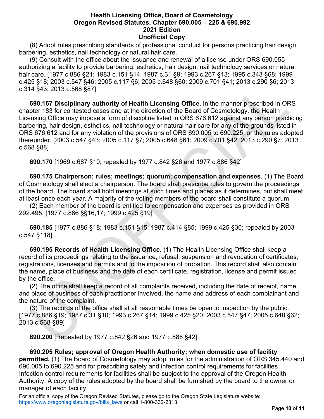(8) Adopt rules prescribing standards of professional conduct for persons practicing hair design, barbering, esthetics, nail technology or natural hair care.

 (9) Consult with the office about the issuance and renewal of a license under ORS 690.055 authorizing a facility to provide barbering, esthetics, hair design, nail technology services or natural hair care. [1977 c.886 §21; 1983 c.151 §14; 1987 c.31 §9; 1993 c.267 §13; 1995 c.343 §68; 1999 c.425 §18; 2003 c.547 §46; 2005 c.117 §6; 2005 c.648 §60; 2009 c.701 §41; 2013 c.290 §6; 2013 c.314 §43; 2013 c.568 §87]

 **690.167 Disciplinary authority of Health Licensing Office.** In the manner prescribed in ORS chapter 183 for contested cases and at the direction of the Board of Cosmetology, the Health Licensing Office may impose a form of discipline listed in ORS 676.612 against any person practicing barbering, hair design, esthetics, nail technology or natural hair care for any of the grounds listed in ORS 676.612 and for any violation of the provisions of ORS 690.005 to 690.225, or the rules adopted thereunder. [2003 c.547 §43; 2005 c.117 §7; 2005 c.648 §61; 2009 c.701 §42; 2013 c.290 §7; 2013 c.568 §88]

 **690.170** [1969 c.687 §10; repealed by 1977 c.842 §26 and 1977 c.886 §42]

 **690.175 Chairperson; rules; meetings; quorum; compensation and expenses.** (1) The Board of Cosmetology shall elect a chairperson. The board shall prescribe rules to govern the proceedings of the board. The board shall hold meetings at such times and places as it determines, but shall meet at least once each year. A majority of the voting members of the board shall constitute a quorum.

 (2) Each member of the board is entitled to compensation and expenses as provided in ORS 292.495. [1977 c.886 §§16,17; 1999 c.425 §19]

 **690.185** [1977 c.886 §18; 1983 c.151 §15; 1987 c.414 §85; 1999 c.425 §30; repealed by 2003 c.547 §118]

 **690.195 Records of Health Licensing Office.** (1) The Health Licensing Office shall keep a record of its proceedings relating to the issuance, refusal, suspension and revocation of certificates, registrations, licenses and permits and to the imposition of probation. This record shall also contain the name, place of business and the date of each certificate, registration, license and permit issued by the office.

 (2) The office shall keep a record of all complaints received, including the date of receipt, name and place of business of each practitioner involved, the name and address of each complainant and the nature of the complaint.

 (3) The records of the office shall at all reasonable times be open to inspection by the public. [1977 c.886 §19; 1987 c.31 §10; 1993 c.267 §14; 1999 c.425 §20; 2003 c.547 §47; 2005 c.648 §62; 2013 c.568 §89]

 **690.200** [Repealed by 1977 c.842 §26 and 1977 c.886 §42]

## **690.205 Rules; approval of Oregon Health Authority; when domestic use of facility**

**permitted.** (1) The Board of Cosmetology may adopt rules for the administration of ORS 345.440 and 690.005 to 690.225 and for prescribing safety and infection control requirements for facilities. Infection control requirements for facilities shall be subject to the approval of the Oregon Health Authority. A copy of the rules adopted by the board shall be furnished by the board to the owner or manager of each facility.